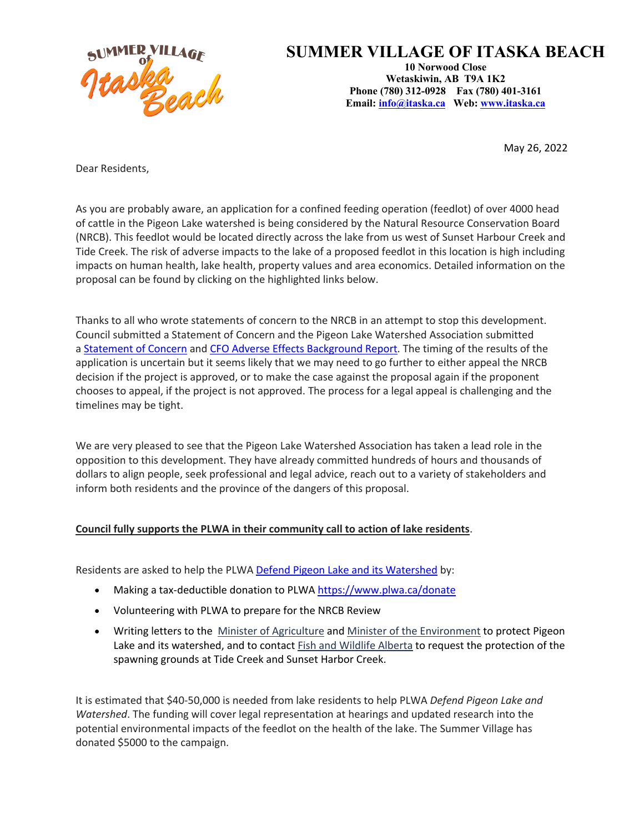

## **SUMMER VILLAGE OF ITASKA BEACH**

**10 Norwood Close Wetaskiwin, AB T9A 1K2 Phone (780) 312-0928 Fax (780) 401-3161 Email: info@itaska.ca Web: www.itaska.ca**

May 26, 2022

Dear Residents,

As you are probably aware, an application for a confined feeding operation (feedlot) of over 4000 head of cattle in the Pigeon Lake watershed is being considered by the Natural Resource Conservation Board (NRCB). This feedlot would be located directly across the lake from us west of Sunset Harbour Creek and Tide Creek. The risk of adverse impacts to the lake of a proposed feedlot in this location is high including impacts on human health, lake health, property values and area economics. Detailed information on the proposal can be found by clicking on the highlighted links below.

Thanks to all who wrote statements of concern to the NRCB in an attempt to stop this development. Council submitted a Statement of Concern and the Pigeon Lake Watershed Association submitted a Statement of Concern and CFO Adverse Effects Background Report. The timing of the results of the application is uncertain but it seems likely that we may need to go further to either appeal the NRCB decision if the project is approved, or to make the case against the proposal again if the proponent chooses to appeal, if the project is not approved. The process for a legal appeal is challenging and the timelines may be tight.

We are very pleased to see that the Pigeon Lake Watershed Association has taken a lead role in the opposition to this development. They have already committed hundreds of hours and thousands of dollars to align people, seek professional and legal advice, reach out to a variety of stakeholders and inform both residents and the province of the dangers of this proposal.

## **Council fully supports the PLWA in their community call to action of lake residents**.

Residents are asked to help the PLWA Defend Pigeon Lake and its Watershed by:

- Making a tax-deductible donation to PLWA https://www.plwa.ca/donate
- Volunteering with PLWA to prepare for the NRCB Review
- Writing letters to the Minister of Agriculture and Minister of the Environment to protect Pigeon Lake and its watershed, and to contact **Fish and Wildlife Alberta** to request the protection of the spawning grounds at Tide Creek and Sunset Harbor Creek.

It is estimated that \$40-50,000 is needed from lake residents to help PLWA *Defend Pigeon Lake and Watershed*. The funding will cover legal representation at hearings and updated research into the potential environmental impacts of the feedlot on the health of the lake. The Summer Village has donated \$5000 to the campaign.